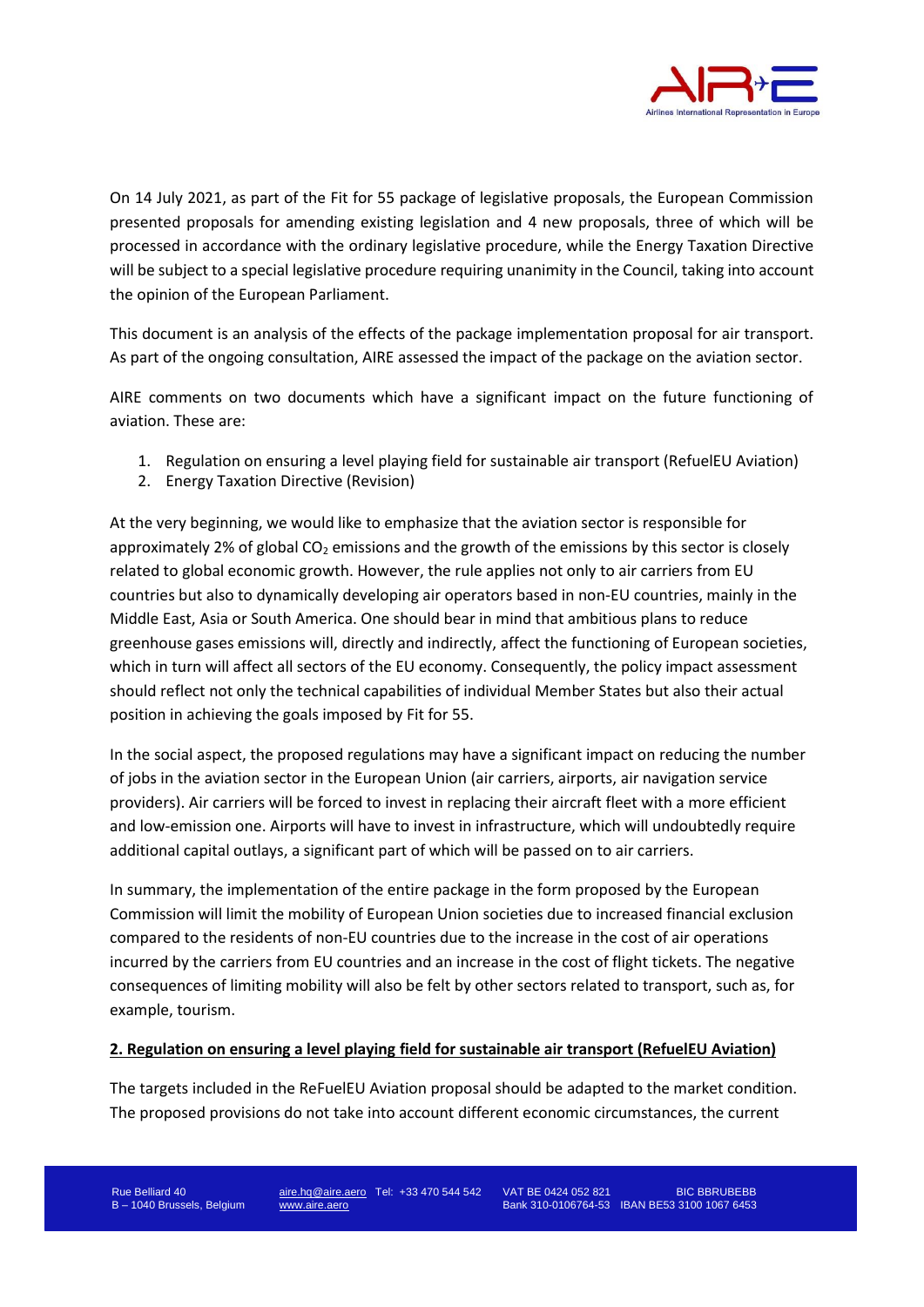

On 14 July 2021, as part of the Fit for 55 package of legislative proposals, the European Commission presented proposals for amending existing legislation and 4 new proposals, three of which will be processed in accordance with the ordinary legislative procedure, while the Energy Taxation Directive will be subject to a special legislative procedure requiring unanimity in the Council, taking into account the opinion of the European Parliament.

This document is an analysis of the effects of the package implementation proposal for air transport. As part of the ongoing consultation, AIRE assessed the impact of the package on the aviation sector.

AIRE comments on two documents which have a significant impact on the future functioning of aviation. These are:

- 1. Regulation on ensuring a level playing field for sustainable air transport (RefuelEU Aviation)
- 2. Energy Taxation Directive (Revision)

At the very beginning, we would like to emphasize that the aviation sector is responsible for approximately 2% of global  $CO<sub>2</sub>$  emissions and the growth of the emissions by this sector is closely related to global economic growth. However, the rule applies not only to air carriers from EU countries but also to dynamically developing air operators based in non-EU countries, mainly in the Middle East, Asia or South America. One should bear in mind that ambitious plans to reduce greenhouse gases emissions will, directly and indirectly, affect the functioning of European societies, which in turn will affect all sectors of the EU economy. Consequently, the policy impact assessment should reflect not only the technical capabilities of individual Member States but also their actual position in achieving the goals imposed by Fit for 55.

In the social aspect, the proposed regulations may have a significant impact on reducing the number of jobs in the aviation sector in the European Union (air carriers, airports, air navigation service providers). Air carriers will be forced to invest in replacing their aircraft fleet with a more efficient and low-emission one. Airports will have to invest in infrastructure, which will undoubtedly require additional capital outlays, a significant part of which will be passed on to air carriers.

In summary, the implementation of the entire package in the form proposed by the European Commission will limit the mobility of European Union societies due to increased financial exclusion compared to the residents of non-EU countries due to the increase in the cost of air operations incurred by the carriers from EU countries and an increase in the cost of flight tickets. The negative consequences of limiting mobility will also be felt by other sectors related to transport, such as, for example, tourism.

## **2. Regulation on ensuring a level playing field for sustainable air transport (RefuelEU Aviation)**

The targets included in the ReFuelEU Aviation proposal should be adapted to the market condition. The proposed provisions do not take into account different economic circumstances, the current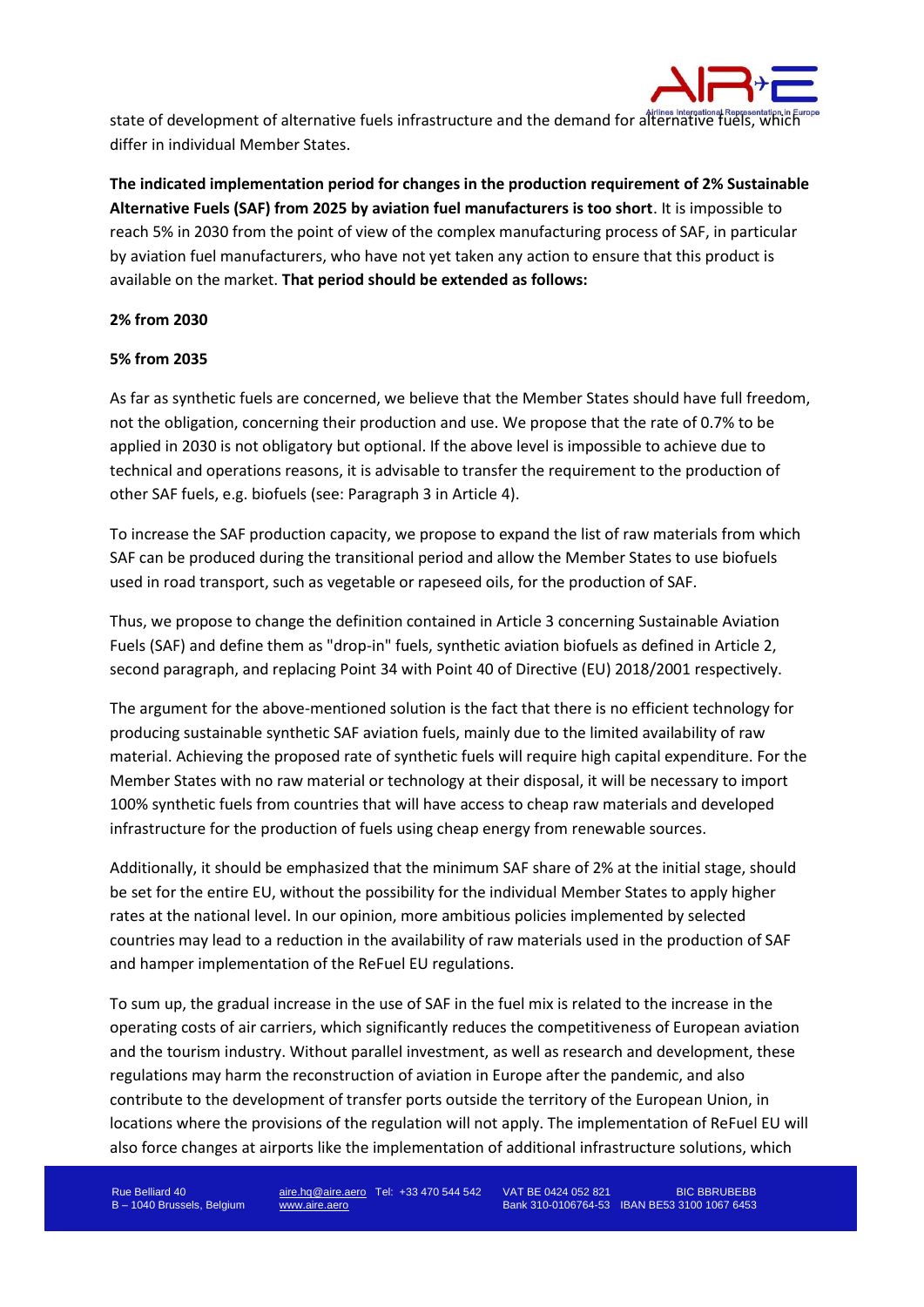

state of development of alternative fuels infrastructure and the demand for alternative fuels, which differ in individual Member States.

**The indicated implementation period for changes in the production requirement of 2% Sustainable Alternative Fuels (SAF) from 2025 by aviation fuel manufacturers is too short**. It is impossible to reach 5% in 2030 from the point of view of the complex manufacturing process of SAF, in particular by aviation fuel manufacturers, who have not yet taken any action to ensure that this product is available on the market. **That period should be extended as follows:**

## **2% from 2030**

## **5% from 2035**

As far as synthetic fuels are concerned, we believe that the Member States should have full freedom, not the obligation, concerning their production and use. We propose that the rate of 0.7% to be applied in 2030 is not obligatory but optional. If the above level is impossible to achieve due to technical and operations reasons, it is advisable to transfer the requirement to the production of other SAF fuels, e.g. biofuels (see: Paragraph 3 in Article 4).

To increase the SAF production capacity, we propose to expand the list of raw materials from which SAF can be produced during the transitional period and allow the Member States to use biofuels used in road transport, such as vegetable or rapeseed oils, for the production of SAF.

Thus, we propose to change the definition contained in Article 3 concerning Sustainable Aviation Fuels (SAF) and define them as "drop-in" fuels, synthetic aviation biofuels as defined in Article 2, second paragraph, and replacing Point 34 with Point 40 of Directive (EU) 2018/2001 respectively.

The argument for the above-mentioned solution is the fact that there is no efficient technology for producing sustainable synthetic SAF aviation fuels, mainly due to the limited availability of raw material. Achieving the proposed rate of synthetic fuels will require high capital expenditure. For the Member States with no raw material or technology at their disposal, it will be necessary to import 100% synthetic fuels from countries that will have access to cheap raw materials and developed infrastructure for the production of fuels using cheap energy from renewable sources.

Additionally, it should be emphasized that the minimum SAF share of 2% at the initial stage, should be set for the entire EU, without the possibility for the individual Member States to apply higher rates at the national level. In our opinion, more ambitious policies implemented by selected countries may lead to a reduction in the availability of raw materials used in the production of SAF and hamper implementation of the ReFuel EU regulations.

To sum up, the gradual increase in the use of SAF in the fuel mix is related to the increase in the operating costs of air carriers, which significantly reduces the competitiveness of European aviation and the tourism industry. Without parallel investment, as well as research and development, these regulations may harm the reconstruction of aviation in Europe after the pandemic, and also contribute to the development of transfer ports outside the territory of the European Union, in locations where the provisions of the regulation will not apply. The implementation of ReFuel EU will also force changes at airports like the implementation of additional infrastructure solutions, which

Rue Belliard 40 **aire.hq@aire.aero** Tel: +33 470 544 542 VAT BE 0424 052 821 BIC BBRUBEBB B – 1040 Brussels, Belgium [www.aire.aero](http://www.aire.aero/) Bank 310-0106764-53 IBAN BE53 3100 1067 6453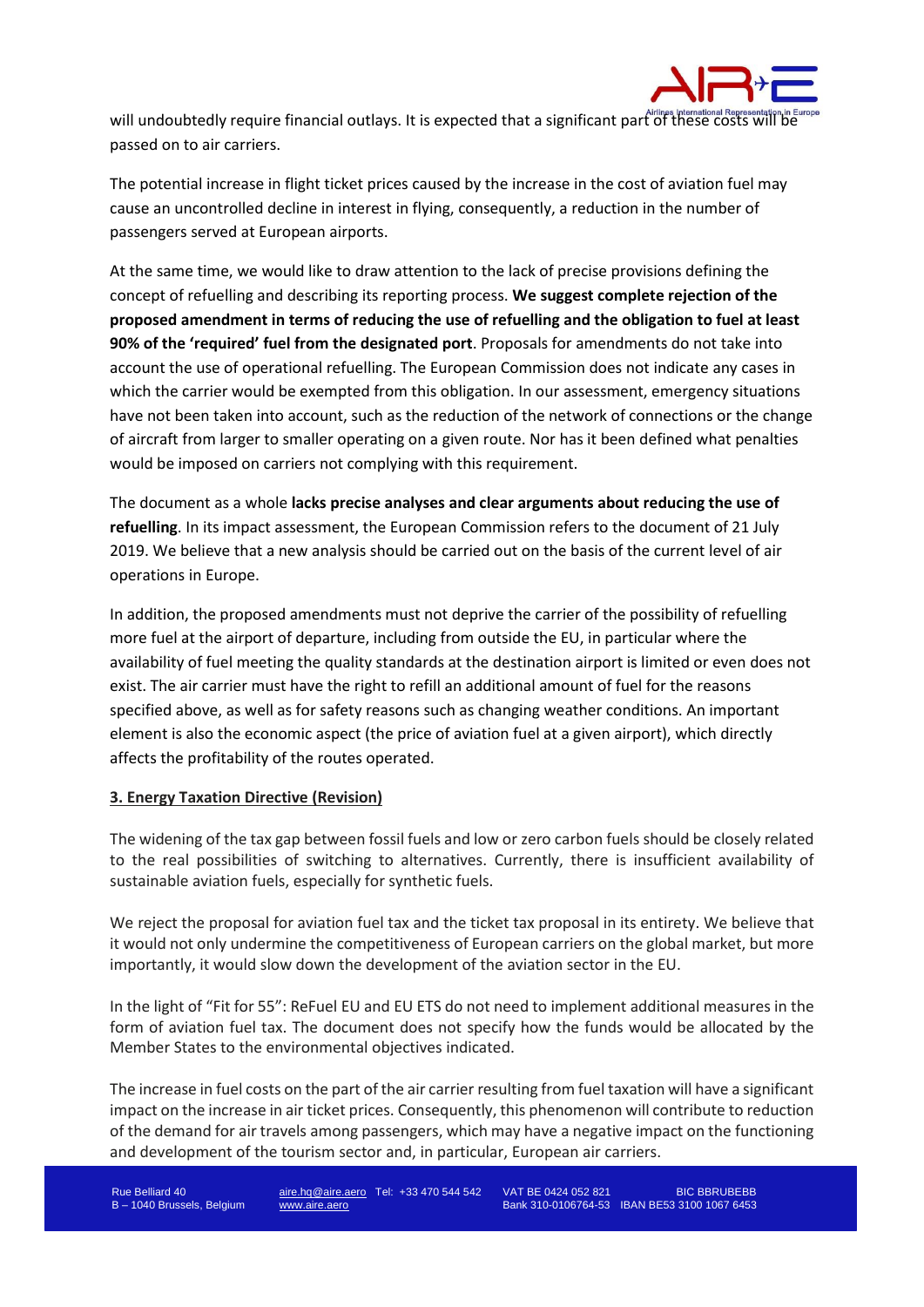

will undoubtedly require financial outlays. It is expected that a significant part of these costs will be passed on to air carriers.

The potential increase in flight ticket prices caused by the increase in the cost of aviation fuel may cause an uncontrolled decline in interest in flying, consequently, a reduction in the number of passengers served at European airports.

At the same time, we would like to draw attention to the lack of precise provisions defining the concept of refuelling and describing its reporting process. **We suggest complete rejection of the proposed amendment in terms of reducing the use of refuelling and the obligation to fuel at least 90% of the 'required' fuel from the designated port**. Proposals for amendments do not take into account the use of operational refuelling. The European Commission does not indicate any cases in which the carrier would be exempted from this obligation. In our assessment, emergency situations have not been taken into account, such as the reduction of the network of connections or the change of aircraft from larger to smaller operating on a given route. Nor has it been defined what penalties would be imposed on carriers not complying with this requirement.

The document as a whole **lacks precise analyses and clear arguments about reducing the use of refuelling**. In its impact assessment, the European Commission refers to the document of 21 July 2019. We believe that a new analysis should be carried out on the basis of the current level of air operations in Europe.

In addition, the proposed amendments must not deprive the carrier of the possibility of refuelling more fuel at the airport of departure, including from outside the EU, in particular where the availability of fuel meeting the quality standards at the destination airport is limited or even does not exist. The air carrier must have the right to refill an additional amount of fuel for the reasons specified above, as well as for safety reasons such as changing weather conditions. An important element is also the economic aspect (the price of aviation fuel at a given airport), which directly affects the profitability of the routes operated.

## **3. Energy Taxation Directive (Revision)**

The widening of the tax gap between fossil fuels and low or zero carbon fuels should be closely related to the real possibilities of switching to alternatives. Currently, there is insufficient availability of sustainable aviation fuels, especially for synthetic fuels.

We reject the proposal for aviation fuel tax and the ticket tax proposal in its entirety. We believe that it would not only undermine the competitiveness of European carriers on the global market, but more importantly, it would slow down the development of the aviation sector in the EU.

In the light of "Fit for 55": ReFuel EU and EU ETS do not need to implement additional measures in the form of aviation fuel tax. The document does not specify how the funds would be allocated by the Member States to the environmental objectives indicated.

The increase in fuel costs on the part of the air carrier resulting from fuel taxation will have a significant impact on the increase in air ticket prices. Consequently, this phenomenon will contribute to reduction of the demand for air travels among passengers, which may have a negative impact on the functioning and development of the tourism sector and, in particular, European air carriers.

Rue Belliard 40 **aire.hq@aire.aero** Tel: +33 470 544 542 VAT BE 0424 052 821 BIC BBRUBEBB B – 1040 Brussels, Belgium [www.aire.aero](http://www.aire.aero/) Bank 310-0106764-53 IBAN BE53 3100 1067 6453